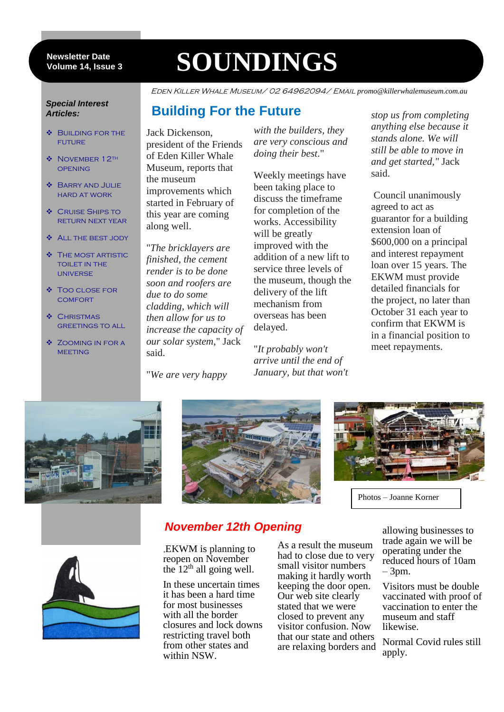#### **Newsletter Date Volume 14, Issue 3**

# **SOUNDINGS**

Eden Killer Whale Museum/ 02 64962094/ Email *promo@killerwhalemuseum.com.au*

#### *Special Interest Articles:*

- **❖** BUILDING FOR THE future
- ◆ NOVEMBER 12TH **OPENING**
- Barry and Julie hard at work
- **❖** CRUISE SHIPS TO return next year
- **ALL THE BEST JODY**
- **THE MOST ARTISTIC** toilet in the universe
- Too close for **COMFORT**
- $\bullet$  CHRISTMAS greetings to all
- Zooming in for a **MEETING**

**Building For the Future**

Jack Dickenson, president of the Friends of Eden Killer Whale Museum, reports that the museum improvements which started in February of this year are coming along well.

"*The bricklayers are finished, the cement render is to be done soon and roofers are due to do some cladding, which will then allow for us to increase the capacity of our solar system*," Jack said.

"*We are very happy*

*with the builders, they are very conscious and doing their best*."

Weekly meetings have been taking place to discuss the timeframe for completion of the works. Accessibility will be greatly improved with the addition of a new lift to service three levels of the museum, though the delivery of the lift mechanism from overseas has been delayed.

"*It probably won't arrive until the end of January, but that won't* *stop us from completing anything else because it stands alone. We will still be able to move in and get started,"* Jack said.

Council unanimously agreed to act as guarantor for a building extension loan of \$600,000 on a principal and interest repayment loan over 15 years. The EKWM must provide detailed financials for the project, no later than October 31 each year to confirm that EKWM is in a financial position to meet repayments.







Photos – Joanne Korner



# *November 12th Opening*

,EKWM is planning to reopen on November the  $12<sup>th</sup>$  all going well.

In these uncertain times it has been a hard time for most businesses with all the border closures and lock downs restricting travel both from other states and within NSW.

As a result the museum had to close due to very small visitor numbers making it hardly worth keeping the door open. Our web site clearly stated that we were closed to prevent any visitor confusion. Now that our state and others are relaxing borders and allowing businesses to trade again we will be operating under the reduced hours of 10am – 3pm.

Visitors must be double vaccinated with proof of vaccination to enter the museum and staff likewise.

Normal Covid rules still apply.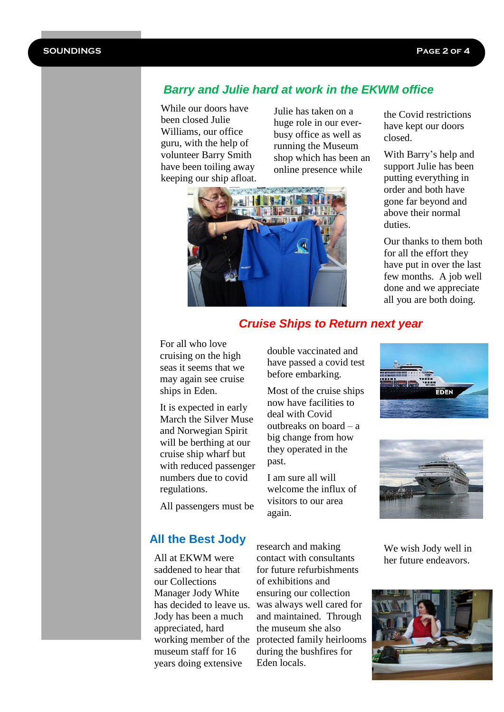# *Barry and Julie hard at work in the EKWM office*

While our doors have been closed Julie Williams, our office guru, with the help of volunteer Barry Smith have been toiling away keeping our ship afloat.

Julie has taken on a huge role in our everbusy office as well as running the Museum shop which has been an online presence while



the Covid restrictions have kept our doors closed.

With Barry's help and support Julie has been putting everything in order and both have gone far beyond and above their normal duties.

Our thanks to them both for all the effort they have put in over the last few months. A job well done and we appreciate all you are both doing.

# *Cruise Ships to Return next year*

double vaccinated and have passed a covid test before embarking.

Most of the cruise ships now have facilities to deal with Covid

outbreaks on board – a big change from how they operated in the

I am sure all will welcome the influx of visitors to our area

past.

again.

For all who love cruising on the high seas it seems that we may again see cruise ships in Eden.

It is expected in early March the Silver Muse and Norwegian Spirit will be berthing at our cruise ship wharf but with reduced passenger numbers due to covid regulations.

All passengers must be

## **All the Best Jody**

All at EKWM were saddened to hear that our Collections Manager Jody White has decided to leave us. Jody has been a much appreciated, hard museum staff for 16 years doing extensive

working member of the protected family heirlooms research and making contact with consultants for future refurbishments of exhibitions and ensuring our collection was always well cared for and maintained. Through the museum she also during the bushfires for Eden locals.





We wish Jody well in her future endeavors.

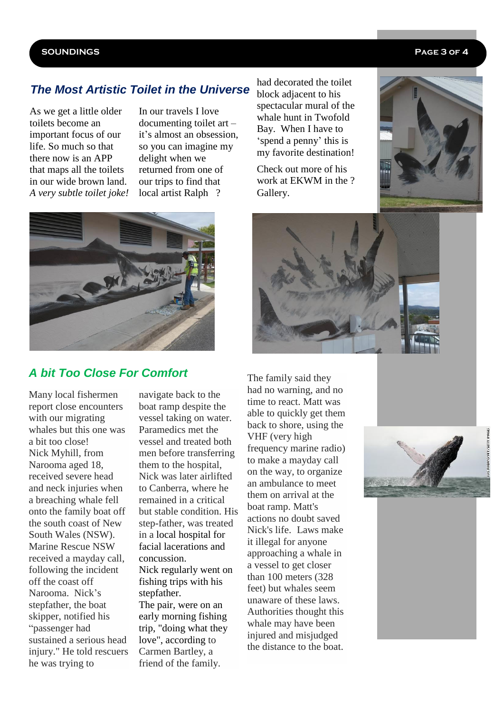### **SOUNDINGS Page 3 of 4**

# *The Most Artistic Toilet in the Universe*

As we get a little older toilets become an important focus of our life. So much so that there now is an APP that maps all the toilets in our wide brown land. *A very subtle toilet joke!* In our travels I love documenting toilet art – it's almost an obsession, so you can imagine my delight when we returned from one of our trips to find that local artist Ralph ?

had decorated the toilet block adjacent to his spectacular mural of the whale hunt in Twofold Bay. When I have to 'spend a penny' this is my favorite destination!

Check out more of his work at EKWM in the ? Gallery.







## *A bit Too Close For Comfort*

Many local fishermen report close encounters with our migrating whales but this one was a bit too close! Nick Myhill, from Narooma aged 18, received severe head and neck injuries when a breaching whale fell onto the family boat off the south coast of New South Wales (NSW). Marine Rescue NSW received a mayday call, following the incident off the coast off Narooma. Nick's stepfather, the boat skipper, notified his "passenger had sustained a serious head injury." He told rescuers he was trying to

navigate back to the boat ramp despite the vessel taking on water. Paramedics met the vessel and treated both men before transferring them to the hospital, Nick was later airlifted to Canberra, where he remained in a critical but stable condition. His step-father, was treated in a local hospital for facial lacerations and concussion. Nick regularly went on fishing trips with his stepfather. The pair, were on an early morning fishing trip, "doing what they love", according to Carmen Bartley, a friend of the family.

The family said they had no warning, and no time to react. Matt was able to quickly get them back to shore, using the VHF (very high frequency marine radio) to make a mayday call on the way, to organize an ambulance to meet them on arrival at the boat ramp. Matt's actions no doubt saved Nick's life. Laws make it illegal for anyone approaching a whale in a vessel to get closer than 100 meters (328 feet) but whales seem unaware of these laws. Authorities thought this whale may have been injured and misjudged the distance to the boat.